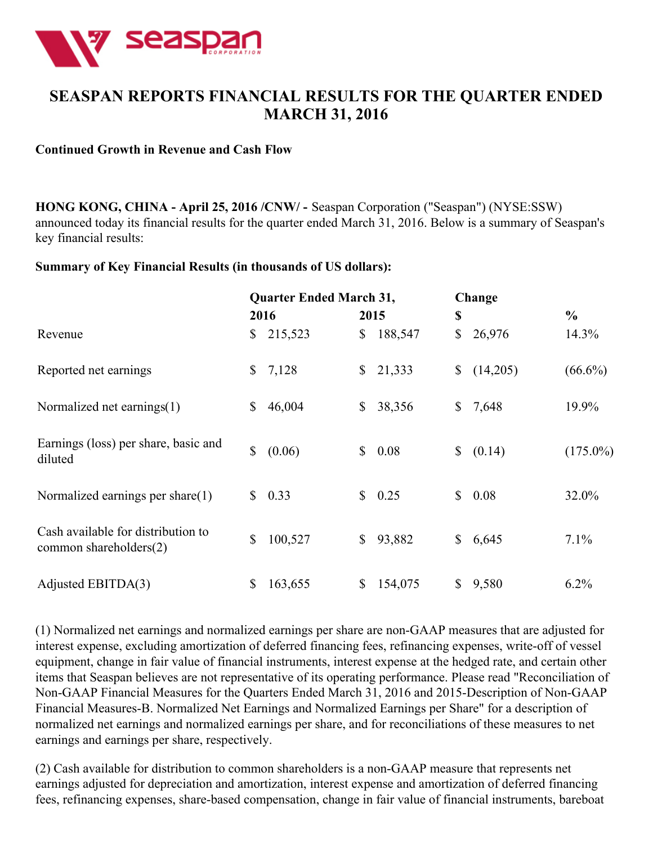

# **SEASPAN REPORTS FINANCIAL RESULTS FOR THE QUARTER ENDED MARCH 31, 2016**

#### **Continued Growth in Revenue and Cash Flow**

**HONG KONG, CHINA - April 25, 2016 /CNW/ -** Seaspan Corporation ("Seaspan") (NYSE:SSW) announced today its financial results for the quarter ended March 31, 2016. Below is a summary of Seaspan's key financial results:

#### **Summary of Key Financial Results (in thousands of US dollars):**

|                                                                 | <b>Quarter Ended March 31,</b> |         |                | Change  |                |          |               |
|-----------------------------------------------------------------|--------------------------------|---------|----------------|---------|----------------|----------|---------------|
|                                                                 |                                | 2016    | 2015           |         | \$             |          | $\frac{6}{6}$ |
| Revenue                                                         | $\mathbb{S}^-$                 | 215,523 | \$             | 188,547 | \$             | 26,976   | $14.3\%$      |
| Reported net earnings                                           | $\mathbb{S}^-$                 | 7,128   | $\mathbb{S}^-$ | 21,333  | \$             | (14,205) | $(66.6\%)$    |
| Normalized net earnings(1)                                      | \$                             | 46,004  | \$             | 38,356  | $\mathbb{S}$   | 7,648    | 19.9%         |
| Earnings (loss) per share, basic and<br>diluted                 | $\mathbb{S}$                   | (0.06)  | $\mathbb{S}$   | 0.08    | $\mathbb{S}^-$ | (0.14)   | $(175.0\%)$   |
| Normalized earnings per share $(1)$                             | $\mathbb{S}$                   | 0.33    | $\mathbb{S}$   | 0.25    | $\mathbb{S}$   | 0.08     | 32.0%         |
| Cash available for distribution to<br>common shareholders $(2)$ | \$                             | 100,527 | \$             | 93,882  | \$             | 6,645    | 7.1%          |
| Adjusted EBITDA(3)                                              | \$                             | 163,655 | \$             | 154,075 | \$             | 9,580    | 6.2%          |

(1) Normalized net earnings and normalized earnings per share are non-GAAP measures that are adjusted for interest expense, excluding amortization of deferred financing fees, refinancing expenses, write-off of vessel equipment, change in fair value of financial instruments, interest expense at the hedged rate, and certain other items that Seaspan believes are not representative of its operating performance. Please read "Reconciliation of Non-GAAP Financial Measures for the Quarters Ended March 31, 2016 and 2015-Description of Non-GAAP Financial Measures-B. Normalized Net Earnings and Normalized Earnings per Share" for a description of normalized net earnings and normalized earnings per share, and for reconciliations of these measures to net earnings and earnings per share, respectively.

(2) Cash available for distribution to common shareholders is a non-GAAP measure that represents net earnings adjusted for depreciation and amortization, interest expense and amortization of deferred financing fees, refinancing expenses, share-based compensation, change in fair value of financial instruments, bareboat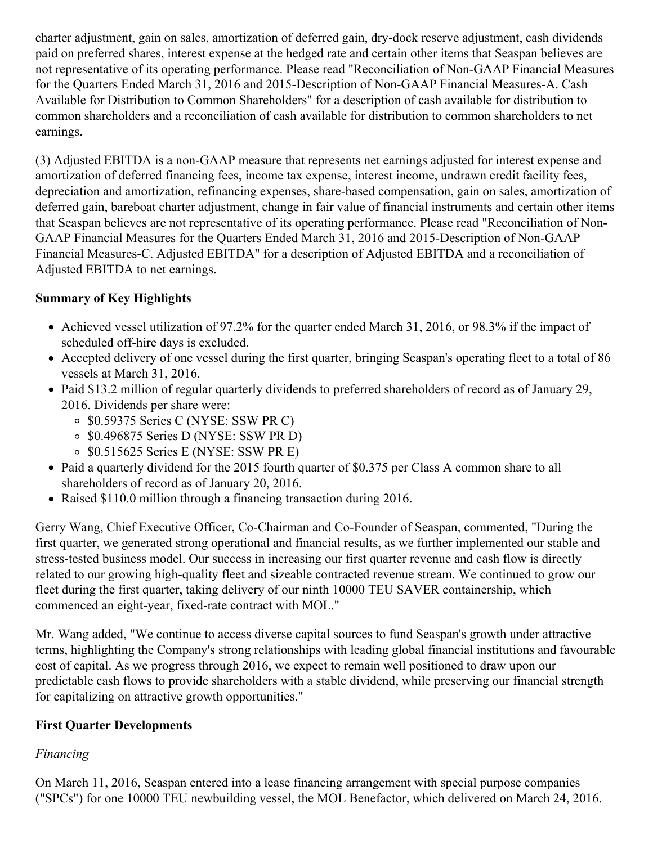charter adjustment, gain on sales, amortization of deferred gain, dry-dock reserve adjustment, cash dividends paid on preferred shares, interest expense at the hedged rate and certain other items that Seaspan believes are not representative of its operating performance. Please read "Reconciliation of Non-GAAP Financial Measures for the Quarters Ended March 31, 2016 and 2015-Description of Non-GAAP Financial Measures-A. Cash Available for Distribution to Common Shareholders" for a description of cash available for distribution to common shareholders and a reconciliation of cash available for distribution to common shareholders to net earnings.

(3) Adjusted EBITDA is a non-GAAP measure that represents net earnings adjusted for interest expense and amortization of deferred financing fees, income tax expense, interest income, undrawn credit facility fees, depreciation and amortization, refinancing expenses, share-based compensation, gain on sales, amortization of deferred gain, bareboat charter adjustment, change in fair value of financial instruments and certain other items that Seaspan believes are not representative of its operating performance. Please read "Reconciliation of Non-GAAP Financial Measures for the Quarters Ended March 31, 2016 and 2015-Description of Non-GAAP Financial Measures-C. Adjusted EBITDA" for a description of Adjusted EBITDA and a reconciliation of Adjusted EBITDA to net earnings.

## **Summary of Key Highlights**

- Achieved vessel utilization of 97.2% for the quarter ended March 31, 2016, or 98.3% if the impact of scheduled off-hire days is excluded.
- Accepted delivery of one vessel during the first quarter, bringing Seaspan's operating fleet to a total of 86 vessels at March 31, 2016.
- Paid \$13.2 million of regular quarterly dividends to preferred shareholders of record as of January 29, 2016. Dividends per share were:
	- \$0.59375 Series C (NYSE: SSW PR C)
	- \$0.496875 Series D (NYSE: SSW PR D)
	- $\circ$  \$0.515625 Series E (NYSE: SSW PR E)
- Paid a quarterly dividend for the 2015 fourth quarter of \$0.375 per Class A common share to all shareholders of record as of January 20, 2016.
- Raised \$110.0 million through a financing transaction during 2016.

Gerry Wang, Chief Executive Officer, Co-Chairman and Co-Founder of Seaspan, commented, "During the first quarter, we generated strong operational and financial results, as we further implemented our stable and stress-tested business model. Our success in increasing our first quarter revenue and cash flow is directly related to our growing high-quality fleet and sizeable contracted revenue stream. We continued to grow our fleet during the first quarter, taking delivery of our ninth 10000 TEU SAVER containership, which commenced an eight-year, fixed-rate contract with MOL."

Mr. Wang added, "We continue to access diverse capital sources to fund Seaspan's growth under attractive terms, highlighting the Company's strong relationships with leading global financial institutions and favourable cost of capital. As we progress through 2016, we expect to remain well positioned to draw upon our predictable cash flows to provide shareholders with a stable dividend, while preserving our financial strength for capitalizing on attractive growth opportunities."

## **First Quarter Developments**

## *Financing*

On March 11, 2016, Seaspan entered into a lease financing arrangement with special purpose companies ("SPCs") for one 10000 TEU newbuilding vessel, the MOL Benefactor, which delivered on March 24, 2016.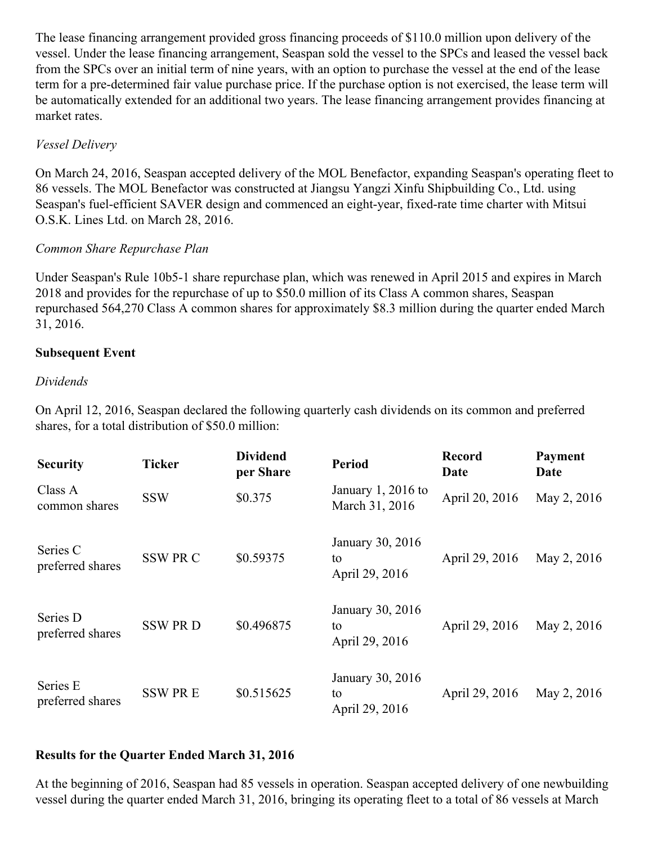The lease financing arrangement provided gross financing proceeds of \$110.0 million upon delivery of the vessel. Under the lease financing arrangement, Seaspan sold the vessel to the SPCs and leased the vessel back from the SPCs over an initial term of nine years, with an option to purchase the vessel at the end of the lease term for a pre-determined fair value purchase price. If the purchase option is not exercised, the lease term will be automatically extended for an additional two years. The lease financing arrangement provides financing at market rates.

## *Vessel Delivery*

On March 24, 2016, Seaspan accepted delivery of the MOL Benefactor, expanding Seaspan's operating fleet to 86 vessels. The MOL Benefactor was constructed at Jiangsu Yangzi Xinfu Shipbuilding Co., Ltd. using Seaspan's fuel-efficient SAVER design and commenced an eight-year, fixed-rate time charter with Mitsui O.S.K. Lines Ltd. on March 28, 2016.

## *Common Share Repurchase Plan*

Under Seaspan's Rule 10b5-1 share repurchase plan, which was renewed in April 2015 and expires in March 2018 and provides for the repurchase of up to \$50.0 million of its Class A common shares, Seaspan repurchased 564,270 Class A common shares for approximately \$8.3 million during the quarter ended March 31, 2016.

## **Subsequent Event**

## *Dividends*

On April 12, 2016, Seaspan declared the following quarterly cash dividends on its common and preferred shares, for a total distribution of \$50.0 million:

| <b>Security</b>              | <b>Ticker</b> | <b>Dividend</b><br>per Share | <b>Period</b>                            | <b>Record</b><br>Date | Payment<br>Date |
|------------------------------|---------------|------------------------------|------------------------------------------|-----------------------|-----------------|
| Class A<br>common shares     | <b>SSW</b>    | \$0.375                      | January $1, 2016$ to<br>March 31, 2016   | April 20, 2016        | May 2, 2016     |
| Series C<br>preferred shares | <b>SSWPRC</b> | \$0.59375                    | January 30, 2016<br>to<br>April 29, 2016 | April 29, 2016        | May 2, 2016     |
| Series D<br>preferred shares | <b>SSWPRD</b> | \$0.496875                   | January 30, 2016<br>to<br>April 29, 2016 | April 29, 2016        | May 2, 2016     |
| Series E<br>preferred shares | <b>SSWPRE</b> | \$0.515625                   | January 30, 2016<br>to<br>April 29, 2016 | April 29, 2016        | May 2, 2016     |

## **Results for the Quarter Ended March 31, 2016**

At the beginning of 2016, Seaspan had 85 vessels in operation. Seaspan accepted delivery of one newbuilding vessel during the quarter ended March 31, 2016, bringing its operating fleet to a total of 86 vessels at March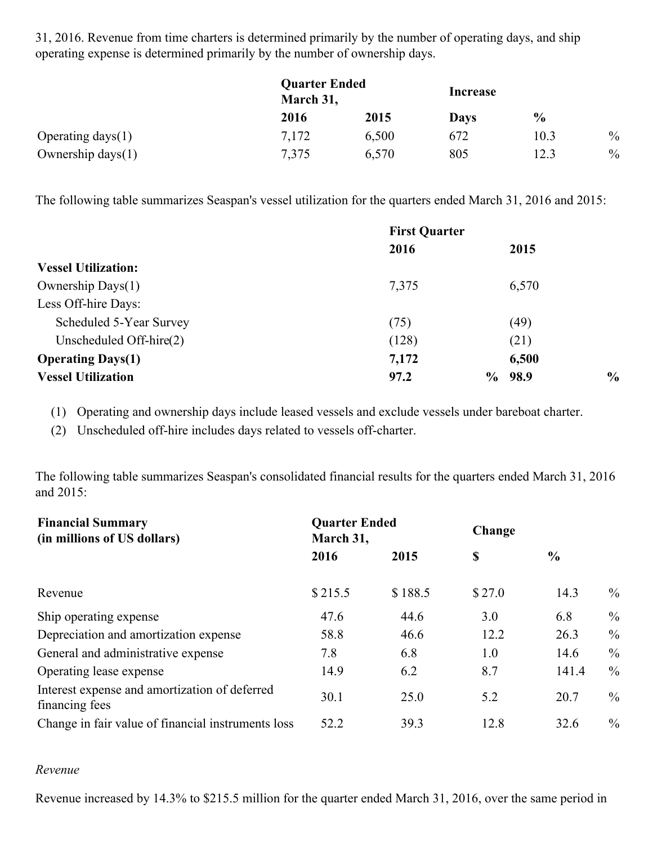31, 2016. Revenue from time charters is determined primarily by the number of operating days, and ship operating expense is determined primarily by the number of ownership days.

|                      | <b>Quarter Ended</b><br>March 31, |       | Increase |               |               |
|----------------------|-----------------------------------|-------|----------|---------------|---------------|
|                      | 2016                              | 2015  | Days     | $\frac{6}{9}$ |               |
| Operating days $(1)$ | 7,172                             | 6,500 | 672      | 10.3          | $\frac{0}{0}$ |
| Ownership days $(1)$ | 7,375                             | 6,570 | 805      | 12.3          | $\%$          |

The following table summarizes Seaspan's vessel utilization for the quarters ended March 31, 2016 and 2015:

|                            | <b>First Quarter</b> |              |               |
|----------------------------|----------------------|--------------|---------------|
|                            | 2016                 | 2015         |               |
| <b>Vessel Utilization:</b> |                      |              |               |
| Ownership Days(1)          | 7,375                | 6,570        |               |
| Less Off-hire Days:        |                      |              |               |
| Scheduled 5-Year Survey    | (75)                 | (49)         |               |
| Unscheduled Off-hire $(2)$ | (128)                | (21)         |               |
| <b>Operating Days(1)</b>   | 7,172                | 6,500        |               |
| <b>Vessel Utilization</b>  | 97.2                 | 98.9<br>$\%$ | $\frac{0}{0}$ |

(1) Operating and ownership days include leased vessels and exclude vessels under bareboat charter.

(2) Unscheduled off-hire includes days related to vessels off-charter.

The following table summarizes Seaspan's consolidated financial results for the quarters ended March 31, 2016 and 2015:

| <b>Financial Summary</b><br>(in millions of US dollars)         | <b>Quarter Ended</b><br>March 31, |         | Change |               |               |
|-----------------------------------------------------------------|-----------------------------------|---------|--------|---------------|---------------|
|                                                                 | 2016                              | 2015    | \$     | $\frac{6}{6}$ |               |
| Revenue                                                         | \$215.5                           | \$188.5 | \$27.0 | 14.3          | $\frac{0}{0}$ |
| Ship operating expense                                          | 47.6                              | 44.6    | 3.0    | 6.8           | $\%$          |
| Depreciation and amortization expense                           | 58.8                              | 46.6    | 12.2   | 26.3          | $\%$          |
| General and administrative expense                              | 7.8                               | 6.8     | 1.0    | 14.6          | $\%$          |
| Operating lease expense                                         | 14.9                              | 6.2     | 8.7    | 141.4         | $\%$          |
| Interest expense and amortization of deferred<br>financing fees | 30.1                              | 25.0    | 5.2    | 20.7          | $\%$          |
| Change in fair value of financial instruments loss              | 52.2                              | 39.3    | 12.8   | 32.6          | $\frac{0}{0}$ |

#### *Revenue*

Revenue increased by 14.3% to \$215.5 million for the quarter ended March 31, 2016, over the same period in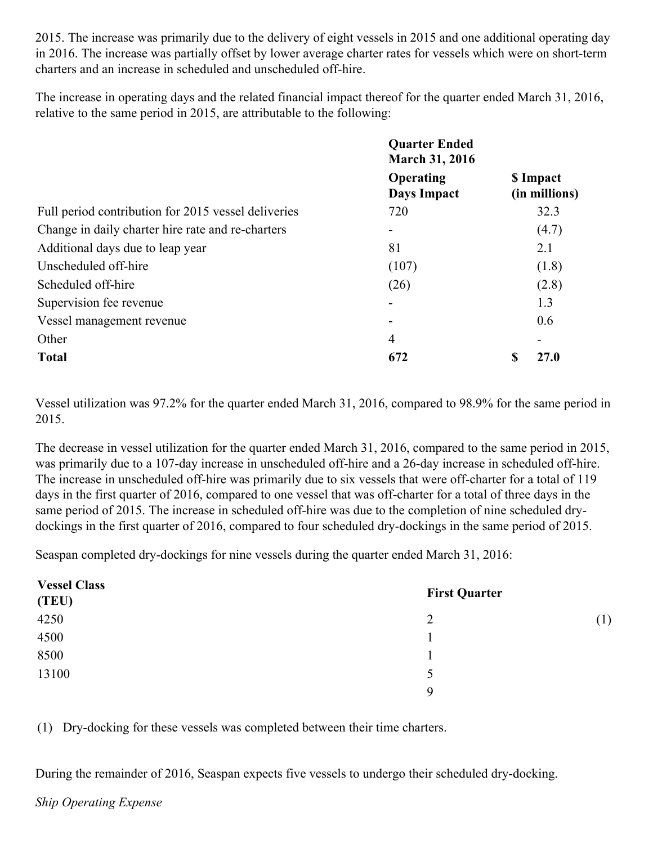2015. The increase was primarily due to the delivery of eight vessels in 2015 and one additional operating day in 2016. The increase was partially offset by lower average charter rates for vessels which were on short-term charters and an increase in scheduled and unscheduled off-hire.

The increase in operating days and the related financial impact thereof for the quarter ended March 31, 2016, relative to the same period in 2015, are attributable to the following:

|                                                     | <b>Quarter Ended</b><br><b>March 31, 2016</b> |   |                            |
|-----------------------------------------------------|-----------------------------------------------|---|----------------------------|
|                                                     | Operating<br>Days Impact                      |   | \$ Impact<br>(in millions) |
| Full period contribution for 2015 vessel deliveries | 720                                           |   | 32.3                       |
| Change in daily charter hire rate and re-charters   |                                               |   | (4.7)                      |
| Additional days due to leap year                    | 81                                            |   | 2.1                        |
| Unscheduled off-hire                                | (107)                                         |   | (1.8)                      |
| Scheduled off-hire                                  | (26)                                          |   | (2.8)                      |
| Supervision fee revenue                             |                                               |   | 1.3                        |
| Vessel management revenue                           |                                               |   | 0.6                        |
| Other                                               | 4                                             |   |                            |
| <b>Total</b>                                        | 672                                           | S | 27.0                       |

Vessel utilization was 97.2% for the quarter ended March 31, 2016, compared to 98.9% for the same period in 2015.

The decrease in vessel utilization for the quarter ended March 31, 2016, compared to the same period in 2015, was primarily due to a 107-day increase in unscheduled off-hire and a 26-day increase in scheduled off-hire. The increase in unscheduled off-hire was primarily due to six vessels that were off-charter for a total of 119 days in the first quarter of 2016, compared to one vessel that was off-charter for a total of three days in the same period of 2015. The increase in scheduled off-hire was due to the completion of nine scheduled drydockings in the first quarter of 2016, compared to four scheduled dry-dockings in the same period of 2015.

Seaspan completed dry-dockings for nine vessels during the quarter ended March 31, 2016:

| <b>Vessel Class</b><br>(TEU) | <b>First Quarter</b> |     |
|------------------------------|----------------------|-----|
| 4250                         | 2                    | (1) |
| 4500                         |                      |     |
| 8500                         |                      |     |
| 13100                        | 5                    |     |
|                              | $\mathbf Q$          |     |

(1) Dry-docking for these vessels was completed between their time charters.

During the remainder of 2016, Seaspan expects five vessels to undergo their scheduled dry-docking.

#### *Ship Operating Expense*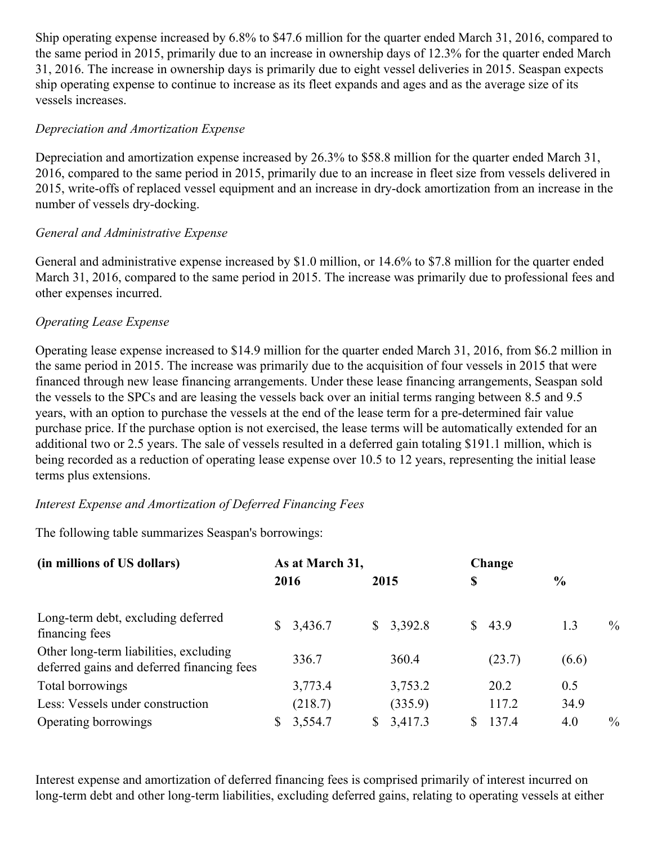Ship operating expense increased by 6.8% to \$47.6 million for the quarter ended March 31, 2016, compared to the same period in 2015, primarily due to an increase in ownership days of 12.3% for the quarter ended March 31, 2016. The increase in ownership days is primarily due to eight vessel deliveries in 2015. Seaspan expects ship operating expense to continue to increase as its fleet expands and ages and as the average size of its vessels increases.

#### *Depreciation and Amortization Expense*

Depreciation and amortization expense increased by 26.3% to \$58.8 million for the quarter ended March 31, 2016, compared to the same period in 2015, primarily due to an increase in fleet size from vessels delivered in 2015, write-offs of replaced vessel equipment and an increase in dry-dock amortization from an increase in the number of vessels dry-docking.

#### *General and Administrative Expense*

General and administrative expense increased by \$1.0 million, or 14.6% to \$7.8 million for the quarter ended March 31, 2016, compared to the same period in 2015. The increase was primarily due to professional fees and other expenses incurred.

#### *Operating Lease Expense*

Operating lease expense increased to \$14.9 million for the quarter ended March 31, 2016, from \$6.2 million in the same period in 2015. The increase was primarily due to the acquisition of four vessels in 2015 that were financed through new lease financing arrangements. Under these lease financing arrangements, Seaspan sold the vessels to the SPCs and are leasing the vessels back over an initial terms ranging between 8.5 and 9.5 years, with an option to purchase the vessels at the end of the lease term for a pre-determined fair value purchase price. If the purchase option is not exercised, the lease terms will be automatically extended for an additional two or 2.5 years. The sale of vessels resulted in a deferred gain totaling \$191.1 million, which is being recorded as a reduction of operating lease expense over 10.5 to 12 years, representing the initial lease terms plus extensions.

## *Interest Expense and Amortization of Deferred Financing Fees*

The following table summarizes Seaspan's borrowings:

| (in millions of US dollars)                                                          |      | As at March 31, |      |         | Change |        |               |               |
|--------------------------------------------------------------------------------------|------|-----------------|------|---------|--------|--------|---------------|---------------|
|                                                                                      | 2016 |                 | 2015 |         | \$     |        | $\frac{0}{0}$ |               |
| Long-term debt, excluding deferred<br>financing fees                                 |      | \$3,436.7       | S.   | 3,392.8 |        | \$43.9 | 1.3           | $\frac{0}{0}$ |
| Other long-term liabilities, excluding<br>deferred gains and deferred financing fees |      | 336.7           |      | 360.4   |        | (23.7) | (6.6)         |               |
| Total borrowings                                                                     |      | 3,773.4         |      | 3,753.2 |        | 20.2   | 0.5           |               |
| Less: Vessels under construction                                                     |      | (218.7)         |      | (335.9) |        | 117.2  | 34.9          |               |
| Operating borrowings                                                                 |      | 3,554.7         |      | 3,417.3 |        | 137.4  | 4.0           | $\%$          |

Interest expense and amortization of deferred financing fees is comprised primarily of interest incurred on long-term debt and other long-term liabilities, excluding deferred gains, relating to operating vessels at either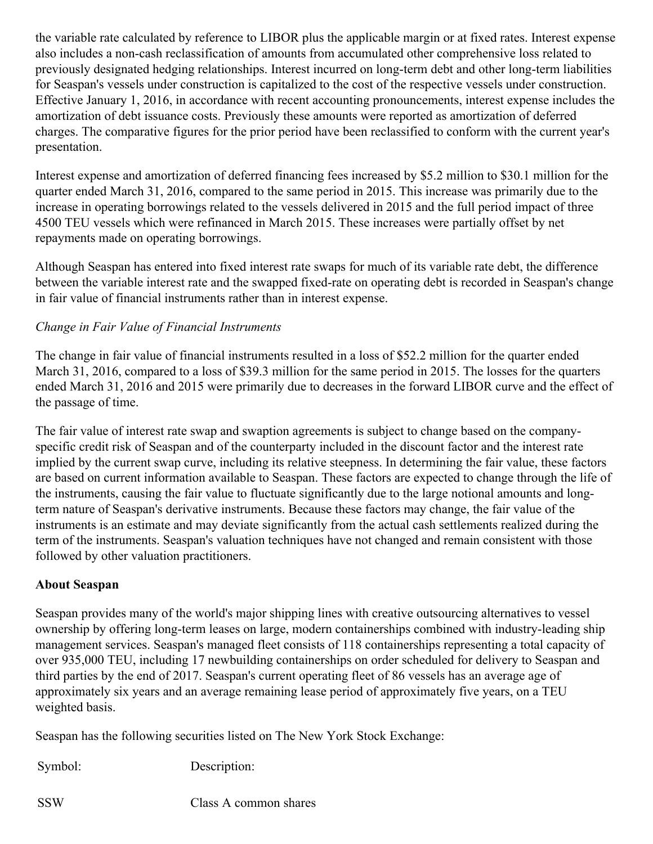the variable rate calculated by reference to LIBOR plus the applicable margin or at fixed rates. Interest expense also includes a non-cash reclassification of amounts from accumulated other comprehensive loss related to previously designated hedging relationships. Interest incurred on long-term debt and other long-term liabilities for Seaspan's vessels under construction is capitalized to the cost of the respective vessels under construction. Effective January 1, 2016, in accordance with recent accounting pronouncements, interest expense includes the amortization of debt issuance costs. Previously these amounts were reported as amortization of deferred charges. The comparative figures for the prior period have been reclassified to conform with the current year's presentation.

Interest expense and amortization of deferred financing fees increased by \$5.2 million to \$30.1 million for the quarter ended March 31, 2016, compared to the same period in 2015. This increase was primarily due to the increase in operating borrowings related to the vessels delivered in 2015 and the full period impact of three 4500 TEU vessels which were refinanced in March 2015. These increases were partially offset by net repayments made on operating borrowings.

Although Seaspan has entered into fixed interest rate swaps for much of its variable rate debt, the difference between the variable interest rate and the swapped fixed-rate on operating debt is recorded in Seaspan's change in fair value of financial instruments rather than in interest expense.

## *Change in Fair Value of Financial Instruments*

The change in fair value of financial instruments resulted in a loss of \$52.2 million for the quarter ended March 31, 2016, compared to a loss of \$39.3 million for the same period in 2015. The losses for the quarters ended March 31, 2016 and 2015 were primarily due to decreases in the forward LIBOR curve and the effect of the passage of time.

The fair value of interest rate swap and swaption agreements is subject to change based on the companyspecific credit risk of Seaspan and of the counterparty included in the discount factor and the interest rate implied by the current swap curve, including its relative steepness. In determining the fair value, these factors are based on current information available to Seaspan. These factors are expected to change through the life of the instruments, causing the fair value to fluctuate significantly due to the large notional amounts and longterm nature of Seaspan's derivative instruments. Because these factors may change, the fair value of the instruments is an estimate and may deviate significantly from the actual cash settlements realized during the term of the instruments. Seaspan's valuation techniques have not changed and remain consistent with those followed by other valuation practitioners.

## **About Seaspan**

Seaspan provides many of the world's major shipping lines with creative outsourcing alternatives to vessel ownership by offering long-term leases on large, modern containerships combined with industry-leading ship management services. Seaspan's managed fleet consists of 118 containerships representing a total capacity of over 935,000 TEU, including 17 newbuilding containerships on order scheduled for delivery to Seaspan and third parties by the end of 2017. Seaspan's current operating fleet of 86 vessels has an average age of approximately six years and an average remaining lease period of approximately five years, on a TEU weighted basis.

Seaspan has the following securities listed on The New York Stock Exchange:

Symbol: Description:

SSW Class A common shares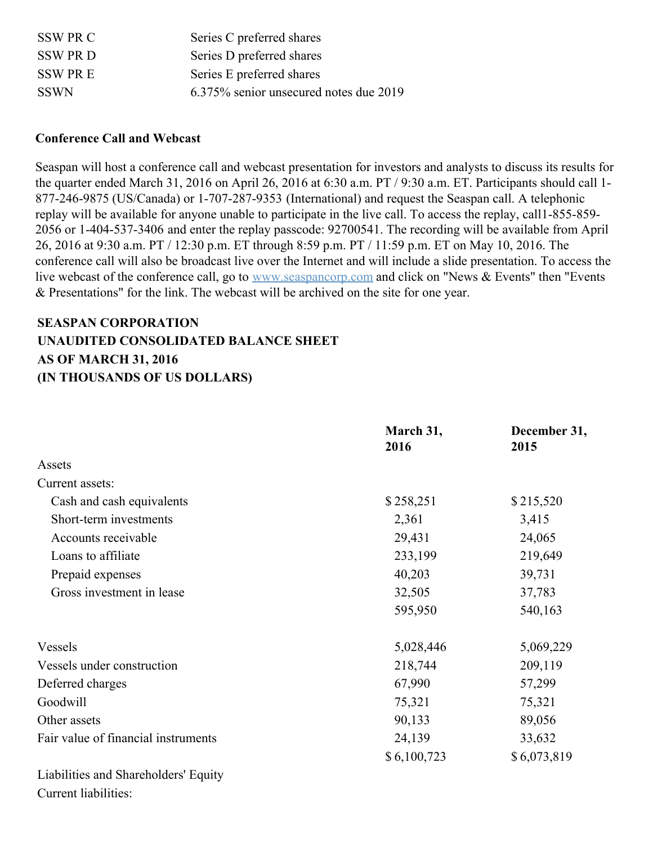| SSW PR C       | Series C preferred shares              |
|----------------|----------------------------------------|
| <b>SSW PRD</b> | Series D preferred shares              |
| SSW PR E       | Series E preferred shares              |
| <b>SSWN</b>    | 6.375% senior unsecured notes due 2019 |

#### **Conference Call and Webcast**

Seaspan will host a conference call and webcast presentation for investors and analysts to discuss its results for the quarter ended March 31, 2016 on April 26, 2016 at 6:30 a.m. PT / 9:30 a.m. ET. Participants should call 1- 877-246-9875 (US/Canada) or 1-707-287-9353 (International) and request the Seaspan call. A telephonic replay will be available for anyone unable to participate in the live call. To access the replay, call1-855-859- 2056 or 1-404-537-3406 and enter the replay passcode: 92700541. The recording will be available from April 26, 2016 at 9:30 a.m. PT / 12:30 p.m. ET through 8:59 p.m. PT / 11:59 p.m. ET on May 10, 2016. The conference call will also be broadcast live over the Internet and will include a slide presentation. To access the live webcast of the conference call, go to [www.seaspancorp.com](http://www.seaspancorp.com/) and click on "News & Events" then "Events" & Presentations" for the link. The webcast will be archived on the site for one year.

# **SEASPAN CORPORATION UNAUDITED CONSOLIDATED BALANCE SHEET AS OF MARCH 31, 2016 (IN THOUSANDS OF US DOLLARS)**

|                                      | March 31,<br>2016 | December 31,<br>2015 |
|--------------------------------------|-------------------|----------------------|
| Assets                               |                   |                      |
| Current assets:                      |                   |                      |
| Cash and cash equivalents            | \$258,251         | \$215,520            |
| Short-term investments               | 2,361             | 3,415                |
| Accounts receivable                  | 29,431            | 24,065               |
| Loans to affiliate                   | 233,199           | 219,649              |
| Prepaid expenses                     | 40,203            | 39,731               |
| Gross investment in lease            | 32,505            | 37,783               |
|                                      | 595,950           | 540,163              |
| Vessels                              | 5,028,446         | 5,069,229            |
| Vessels under construction           | 218,744           | 209,119              |
| Deferred charges                     | 67,990            | 57,299               |
| Goodwill                             | 75,321            | 75,321               |
| Other assets                         | 90,133            | 89,056               |
| Fair value of financial instruments  | 24,139            | 33,632               |
|                                      | \$6,100,723       | \$6,073,819          |
| Liabilities and Shareholders' Equity |                   |                      |
| Current liabilities:                 |                   |                      |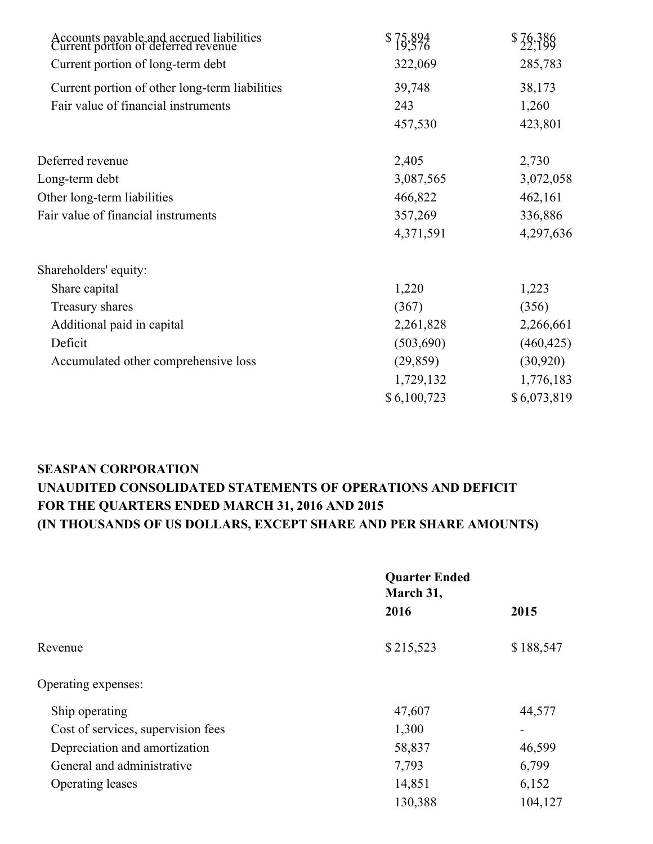| Accounts payable and accrued liabilities<br>Current portion of deferred revenue | $$75,894$<br>$19,576$ | \$39,386    |
|---------------------------------------------------------------------------------|-----------------------|-------------|
| Current portion of long-term debt                                               | 322,069               | 285,783     |
| Current portion of other long-term liabilities                                  | 39,748                | 38,173      |
| Fair value of financial instruments                                             | 243                   | 1,260       |
|                                                                                 | 457,530               | 423,801     |
| Deferred revenue                                                                | 2,405                 | 2,730       |
| Long-term debt                                                                  | 3,087,565             | 3,072,058   |
| Other long-term liabilities                                                     | 466,822               | 462,161     |
| Fair value of financial instruments                                             | 357,269               | 336,886     |
|                                                                                 | 4,371,591             | 4,297,636   |
| Shareholders' equity:                                                           |                       |             |
| Share capital                                                                   | 1,220                 | 1,223       |
| Treasury shares                                                                 | (367)                 | (356)       |
| Additional paid in capital                                                      | 2,261,828             | 2,266,661   |
| Deficit                                                                         | (503,690)             | (460, 425)  |
| Accumulated other comprehensive loss                                            | (29, 859)             | (30,920)    |
|                                                                                 | 1,729,132             | 1,776,183   |
|                                                                                 | \$6,100,723           | \$6,073,819 |
|                                                                                 |                       |             |

# **SEASPAN CORPORATION UNAUDITED CONSOLIDATED STATEMENTS OF OPERATIONS AND DEFICIT FOR THE QUARTERS ENDED MARCH 31, 2016 AND 2015 (IN THOUSANDS OF US DOLLARS, EXCEPT SHARE AND PER SHARE AMOUNTS)**

|                                    | <b>Quarter Ended</b><br>March 31, |                          |  |
|------------------------------------|-----------------------------------|--------------------------|--|
|                                    | 2016                              | 2015                     |  |
| Revenue                            | \$215,523                         | \$188,547                |  |
| Operating expenses:                |                                   |                          |  |
| Ship operating                     | 47,607                            | 44,577                   |  |
| Cost of services, supervision fees | 1,300                             | $\overline{\phantom{0}}$ |  |
| Depreciation and amortization      | 58,837                            | 46,599                   |  |
| General and administrative         | 7,793                             | 6,799                    |  |
| <b>Operating leases</b>            | 14,851                            | 6,152                    |  |
|                                    | 130,388                           | 104,127                  |  |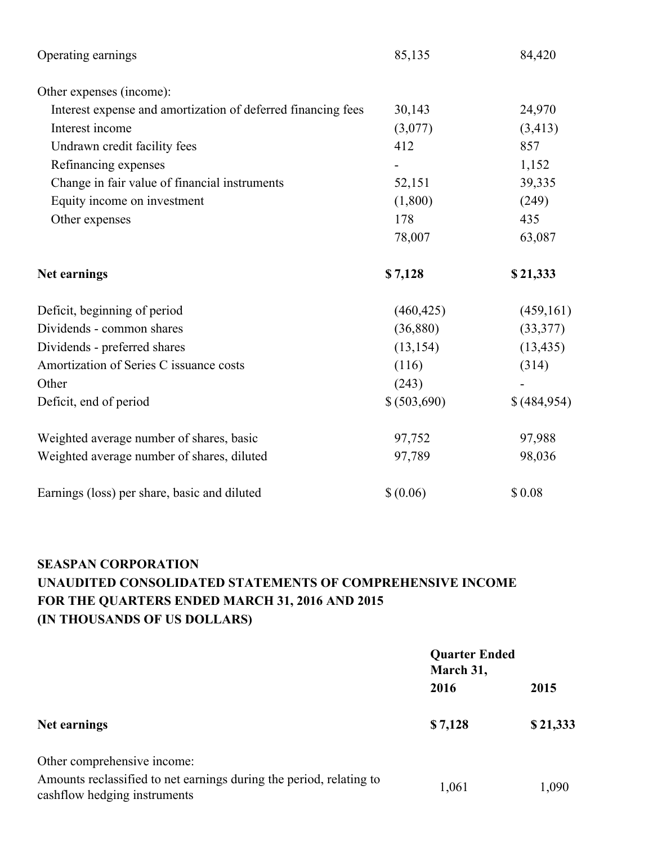| Operating earnings                                           | 85,135       | 84,420      |
|--------------------------------------------------------------|--------------|-------------|
| Other expenses (income):                                     |              |             |
| Interest expense and amortization of deferred financing fees | 30,143       | 24,970      |
| Interest income                                              | (3,077)      | (3, 413)    |
| Undrawn credit facility fees                                 | 412          | 857         |
| Refinancing expenses                                         |              | 1,152       |
| Change in fair value of financial instruments                | 52,151       | 39,335      |
| Equity income on investment                                  | (1,800)      | (249)       |
| Other expenses                                               | 178          | 435         |
|                                                              | 78,007       | 63,087      |
| Net earnings                                                 | \$7,128      | \$21,333    |
| Deficit, beginning of period                                 | (460, 425)   | (459, 161)  |
| Dividends - common shares                                    | (36,880)     | (33, 377)   |
| Dividends - preferred shares                                 | (13, 154)    | (13, 435)   |
| Amortization of Series C issuance costs                      | (116)        | (314)       |
| Other                                                        | (243)        |             |
| Deficit, end of period                                       | \$ (503,690) | \$(484,954) |
| Weighted average number of shares, basic                     | 97,752       | 97,988      |
| Weighted average number of shares, diluted                   | 97,789       | 98,036      |
| Earnings (loss) per share, basic and diluted                 | \$ (0.06)    | \$0.08      |

# **SEASPAN CORPORATION UNAUDITED CONSOLIDATED STATEMENTS OF COMPREHENSIVE INCOME FOR THE QUARTERS ENDED MARCH 31, 2016 AND 2015 (IN THOUSANDS OF US DOLLARS)**

|                                                                                                     | <b>Quarter Ended</b><br>March 31, |          |
|-----------------------------------------------------------------------------------------------------|-----------------------------------|----------|
|                                                                                                     | 2016                              | 2015     |
| Net earnings                                                                                        | \$7,128                           | \$21,333 |
| Other comprehensive income:                                                                         |                                   |          |
| Amounts reclassified to net earnings during the period, relating to<br>cashflow hedging instruments | 1,061                             | 1,090    |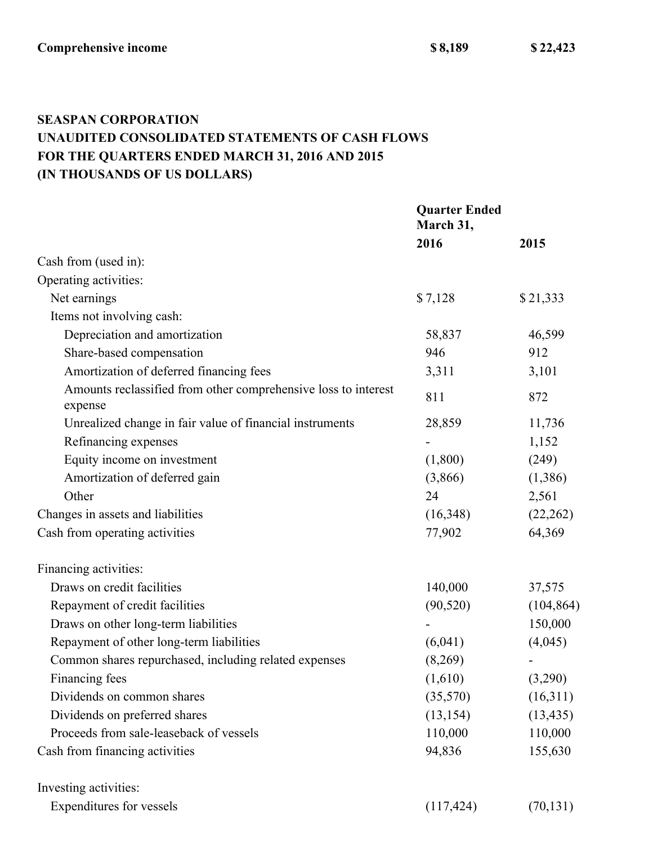**Comprehensive income \$ 8,189 \$ 22,423**

# **SEASPAN CORPORATION UNAUDITED CONSOLIDATED STATEMENTS OF CASH FLOWS FOR THE QUARTERS ENDED MARCH 31, 2016 AND 2015 (IN THOUSANDS OF US DOLLARS)**

|                                                                           | <b>Quarter Ended</b><br>March 31, |            |
|---------------------------------------------------------------------------|-----------------------------------|------------|
|                                                                           | 2016                              | 2015       |
| Cash from (used in):                                                      |                                   |            |
| Operating activities:                                                     |                                   |            |
| Net earnings                                                              | \$7,128                           | \$21,333   |
| Items not involving cash:                                                 |                                   |            |
| Depreciation and amortization                                             | 58,837                            | 46,599     |
| Share-based compensation                                                  | 946                               | 912        |
| Amortization of deferred financing fees                                   | 3,311                             | 3,101      |
| Amounts reclassified from other comprehensive loss to interest<br>expense | 811                               | 872        |
| Unrealized change in fair value of financial instruments                  | 28,859                            | 11,736     |
| Refinancing expenses                                                      |                                   | 1,152      |
| Equity income on investment                                               | (1,800)                           | (249)      |
| Amortization of deferred gain                                             | (3,866)                           | (1,386)    |
| Other                                                                     | 24                                | 2,561      |
| Changes in assets and liabilities                                         | (16,348)                          | (22, 262)  |
| Cash from operating activities                                            | 77,902                            | 64,369     |
| Financing activities:                                                     |                                   |            |
| Draws on credit facilities                                                | 140,000                           | 37,575     |
| Repayment of credit facilities                                            | (90, 520)                         | (104, 864) |
| Draws on other long-term liabilities                                      |                                   | 150,000    |
| Repayment of other long-term liabilities                                  | (6,041)                           | (4,045)    |
| Common shares repurchased, including related expenses                     | (8,269)                           |            |
| Financing fees                                                            | (1,610)                           | (3,290)    |
| Dividends on common shares                                                | (35,570)                          | (16,311)   |
| Dividends on preferred shares                                             | (13, 154)                         | (13, 435)  |
| Proceeds from sale-leaseback of vessels                                   | 110,000                           | 110,000    |
| Cash from financing activities                                            | 94,836                            | 155,630    |
| Investing activities:                                                     |                                   |            |
| Expenditures for vessels                                                  | (117, 424)                        | (70, 131)  |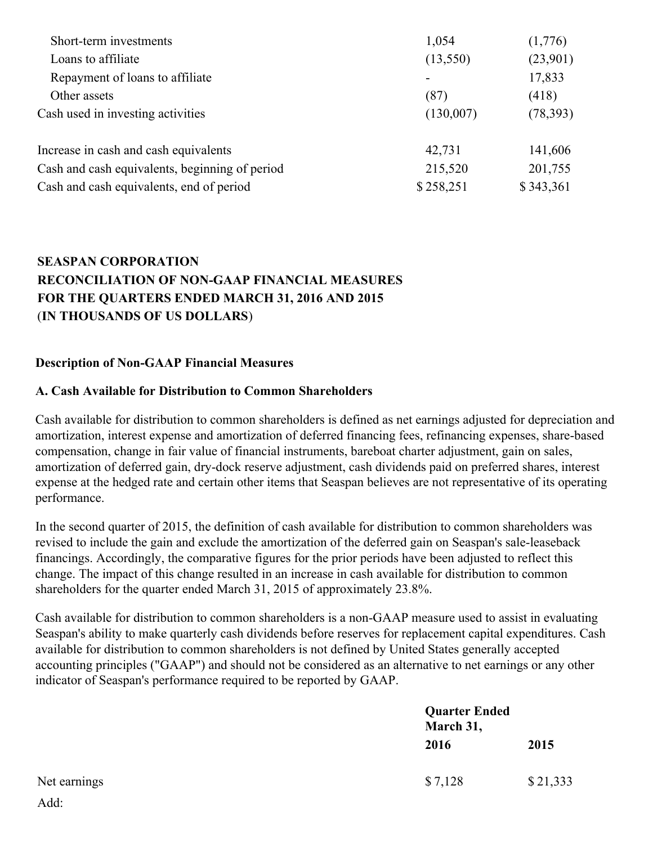| Short-term investments                         | 1,054     | (1,776)   |
|------------------------------------------------|-----------|-----------|
| Loans to affiliate                             | (13,550)  | (23,901)  |
| Repayment of loans to affiliate                |           | 17,833    |
| Other assets                                   | (87)      | (418)     |
| Cash used in investing activities              | (130,007) | (78, 393) |
| Increase in cash and cash equivalents          | 42,731    | 141,606   |
| Cash and cash equivalents, beginning of period | 215,520   | 201,755   |
| Cash and cash equivalents, end of period       | \$258,251 | \$343,361 |

## **SEASPAN CORPORATION RECONCILIATION OF NON-GAAP FINANCIAL MEASURES FOR THE QUARTERS ENDED MARCH 31, 2016 AND 2015** (**IN THOUSANDS OF US DOLLARS**)

#### **Description of Non-GAAP Financial Measures**

#### **A. Cash Available for Distribution to Common Shareholders**

Cash available for distribution to common shareholders is defined as net earnings adjusted for depreciation and amortization, interest expense and amortization of deferred financing fees, refinancing expenses, share-based compensation, change in fair value of financial instruments, bareboat charter adjustment, gain on sales, amortization of deferred gain, dry-dock reserve adjustment, cash dividends paid on preferred shares, interest expense at the hedged rate and certain other items that Seaspan believes are not representative of its operating performance.

In the second quarter of 2015, the definition of cash available for distribution to common shareholders was revised to include the gain and exclude the amortization of the deferred gain on Seaspan's sale-leaseback financings. Accordingly, the comparative figures for the prior periods have been adjusted to reflect this change. The impact of this change resulted in an increase in cash available for distribution to common shareholders for the quarter ended March 31, 2015 of approximately 23.8%.

Cash available for distribution to common shareholders is a non-GAAP measure used to assist in evaluating Seaspan's ability to make quarterly cash dividends before reserves for replacement capital expenditures. Cash available for distribution to common shareholders is not defined by United States generally accepted accounting principles ("GAAP") and should not be considered as an alternative to net earnings or any other indicator of Seaspan's performance required to be reported by GAAP.

|              | March 31, | <b>Quarter Ended</b> |  |
|--------------|-----------|----------------------|--|
|              | 2016      | 2015                 |  |
| Net earnings | \$7,128   | \$21,333             |  |
| Add:         |           |                      |  |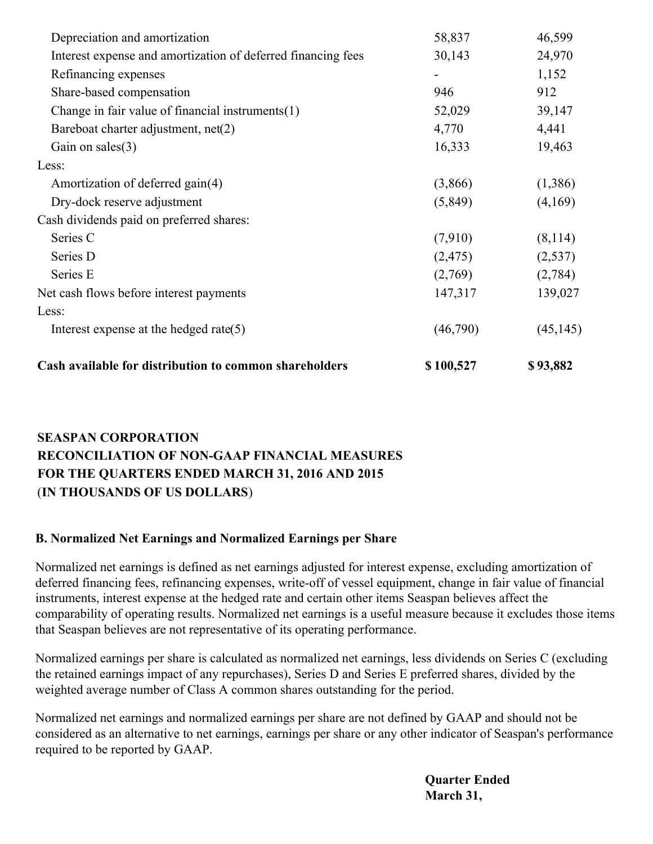| Cash available for distribution to common shareholders       | \$100,527                | \$93,882  |
|--------------------------------------------------------------|--------------------------|-----------|
| Interest expense at the hedged rate $(5)$                    | (46,790)                 | (45, 145) |
| Less:                                                        |                          |           |
| Net cash flows before interest payments                      | 147,317                  | 139,027   |
| Series E                                                     | (2,769)                  | (2,784)   |
| Series D                                                     | (2, 475)                 | (2,537)   |
| Series C                                                     | (7,910)                  | (8,114)   |
| Cash dividends paid on preferred shares:                     |                          |           |
| Dry-dock reserve adjustment                                  | (5,849)                  | (4,169)   |
| Amortization of deferred gain(4)                             | (3,866)                  | (1,386)   |
| Less:                                                        |                          |           |
| Gain on sales $(3)$                                          | 16,333                   | 19,463    |
| Bareboat charter adjustment, net(2)                          | 4,770                    | 4,441     |
| Change in fair value of financial instruments $(1)$          | 52,029                   | 39,147    |
| Share-based compensation                                     | 946                      | 912       |
| Refinancing expenses                                         | $\overline{\phantom{a}}$ | 1,152     |
| Interest expense and amortization of deferred financing fees | 30,143                   | 24,970    |
| Depreciation and amortization                                | 58,837                   | 46,599    |
|                                                              |                          |           |

## **SEASPAN CORPORATION RECONCILIATION OF NON-GAAP FINANCIAL MEASURES FOR THE QUARTERS ENDED MARCH 31, 2016 AND 2015** (**IN THOUSANDS OF US DOLLARS**)

## **B. Normalized Net Earnings and Normalized Earnings per Share**

Normalized net earnings is defined as net earnings adjusted for interest expense, excluding amortization of deferred financing fees, refinancing expenses, write-off of vessel equipment, change in fair value of financial instruments, interest expense at the hedged rate and certain other items Seaspan believes affect the comparability of operating results. Normalized net earnings is a useful measure because it excludes those items that Seaspan believes are not representative of its operating performance.

Normalized earnings per share is calculated as normalized net earnings, less dividends on Series C (excluding the retained earnings impact of any repurchases), Series D and Series E preferred shares, divided by the weighted average number of Class A common shares outstanding for the period.

Normalized net earnings and normalized earnings per share are not defined by GAAP and should not be considered as an alternative to net earnings, earnings per share or any other indicator of Seaspan's performance required to be reported by GAAP.

> **Quarter Ended March 31,**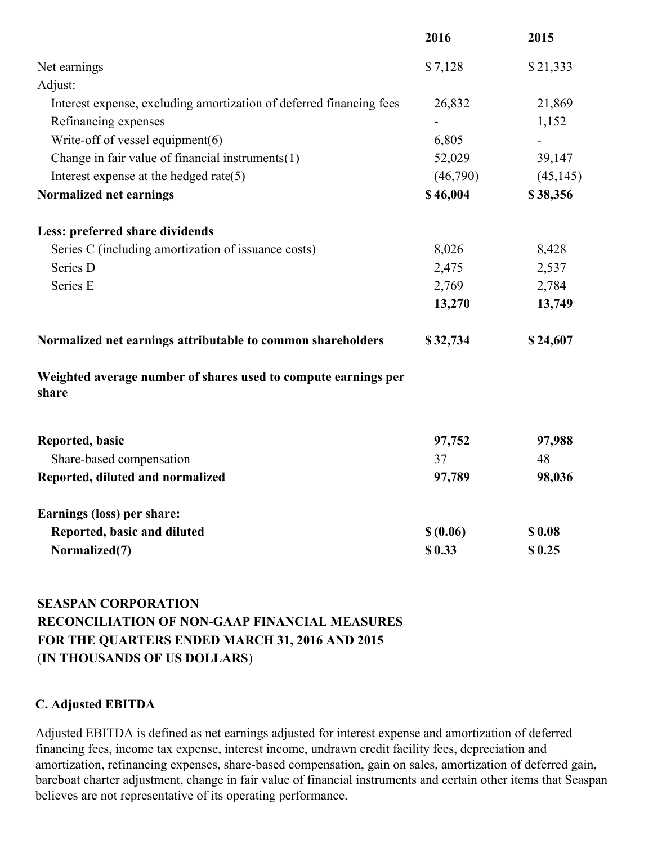|                                                                         | 2016      | 2015      |
|-------------------------------------------------------------------------|-----------|-----------|
| Net earnings                                                            | \$7,128   | \$21,333  |
| Adjust:                                                                 |           |           |
| Interest expense, excluding amortization of deferred financing fees     | 26,832    | 21,869    |
| Refinancing expenses                                                    |           | 1,152     |
| Write-off of vessel equipment $(6)$                                     | 6,805     |           |
| Change in fair value of financial instruments $(1)$                     | 52,029    | 39,147    |
| Interest expense at the hedged rate $(5)$                               | (46,790)  | (45, 145) |
| Normalized net earnings                                                 | \$46,004  | \$38,356  |
| Less: preferred share dividends                                         |           |           |
| Series C (including amortization of issuance costs)                     | 8,026     | 8,428     |
| Series D                                                                | 2,475     | 2,537     |
| Series E                                                                | 2,769     | 2,784     |
|                                                                         | 13,270    | 13,749    |
| Normalized net earnings attributable to common shareholders             | \$32,734  | \$24,607  |
| Weighted average number of shares used to compute earnings per<br>share |           |           |
| Reported, basic                                                         | 97,752    | 97,988    |
| Share-based compensation                                                | 37        | 48        |
| Reported, diluted and normalized                                        | 97,789    | 98,036    |
| Earnings (loss) per share:                                              |           |           |
| Reported, basic and diluted                                             | \$ (0.06) | \$0.08    |
| Normalized(7)                                                           | \$0.33    | \$0.25    |

# **SEASPAN CORPORATION RECONCILIATION OF NON-GAAP FINANCIAL MEASURES FOR THE QUARTERS ENDED MARCH 31, 2016 AND 2015** (**IN THOUSANDS OF US DOLLARS**)

#### **C. Adjusted EBITDA**

Adjusted EBITDA is defined as net earnings adjusted for interest expense and amortization of deferred financing fees, income tax expense, interest income, undrawn credit facility fees, depreciation and amortization, refinancing expenses, share-based compensation, gain on sales, amortization of deferred gain, bareboat charter adjustment, change in fair value of financial instruments and certain other items that Seaspan believes are not representative of its operating performance.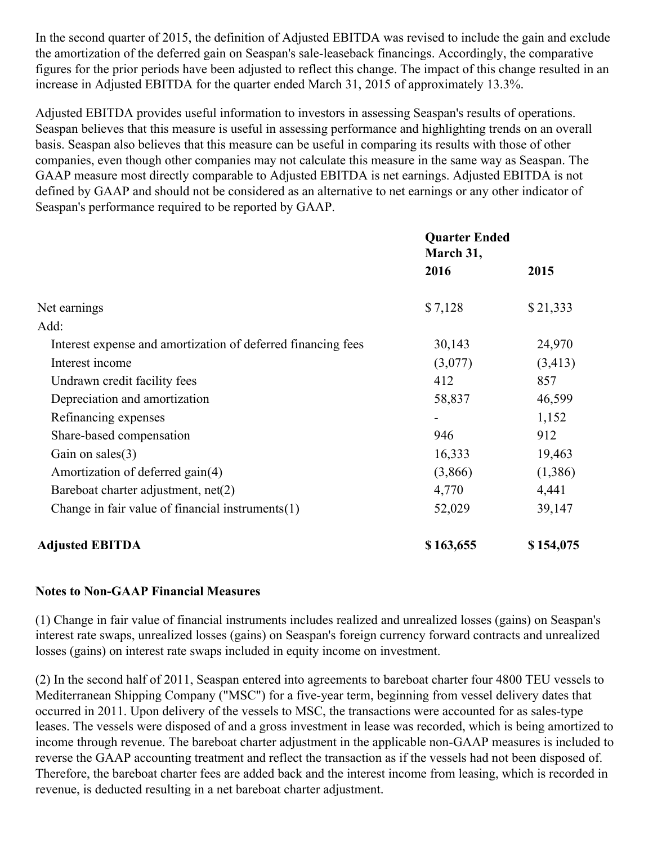In the second quarter of 2015, the definition of Adjusted EBITDA was revised to include the gain and exclude the amortization of the deferred gain on Seaspan's sale-leaseback financings. Accordingly, the comparative figures for the prior periods have been adjusted to reflect this change. The impact of this change resulted in an increase in Adjusted EBITDA for the quarter ended March 31, 2015 of approximately 13.3%.

Adjusted EBITDA provides useful information to investors in assessing Seaspan's results of operations. Seaspan believes that this measure is useful in assessing performance and highlighting trends on an overall basis. Seaspan also believes that this measure can be useful in comparing its results with those of other companies, even though other companies may not calculate this measure in the same way as Seaspan. The GAAP measure most directly comparable to Adjusted EBITDA is net earnings. Adjusted EBITDA is not defined by GAAP and should not be considered as an alternative to net earnings or any other indicator of Seaspan's performance required to be reported by GAAP.

|                                                              | <b>Quarter Ended</b><br>March 31, |           |
|--------------------------------------------------------------|-----------------------------------|-----------|
|                                                              | 2016                              | 2015      |
| Net earnings                                                 | \$7,128                           | \$21,333  |
| Add:                                                         |                                   |           |
| Interest expense and amortization of deferred financing fees | 30,143                            | 24,970    |
| Interest income                                              | (3,077)                           | (3, 413)  |
| Undrawn credit facility fees                                 | 412                               | 857       |
| Depreciation and amortization                                | 58,837                            | 46,599    |
| Refinancing expenses                                         |                                   | 1,152     |
| Share-based compensation                                     | 946                               | 912       |
| Gain on sales $(3)$                                          | 16,333                            | 19,463    |
| Amortization of deferred gain(4)                             | (3,866)                           | (1,386)   |
| Bareboat charter adjustment, net(2)                          | 4,770                             | 4,441     |
| Change in fair value of financial instruments $(1)$          | 52,029                            | 39,147    |
| <b>Adjusted EBITDA</b>                                       | \$163,655                         | \$154,075 |

#### **Notes to Non-GAAP Financial Measures**

(1) Change in fair value of financial instruments includes realized and unrealized losses (gains) on Seaspan's interest rate swaps, unrealized losses (gains) on Seaspan's foreign currency forward contracts and unrealized losses (gains) on interest rate swaps included in equity income on investment.

(2) In the second half of 2011, Seaspan entered into agreements to bareboat charter four 4800 TEU vessels to Mediterranean Shipping Company ("MSC") for a five-year term, beginning from vessel delivery dates that occurred in 2011. Upon delivery of the vessels to MSC, the transactions were accounted for as sales-type leases. The vessels were disposed of and a gross investment in lease was recorded, which is being amortized to income through revenue. The bareboat charter adjustment in the applicable non-GAAP measures is included to reverse the GAAP accounting treatment and reflect the transaction as if the vessels had not been disposed of. Therefore, the bareboat charter fees are added back and the interest income from leasing, which is recorded in revenue, is deducted resulting in a net bareboat charter adjustment.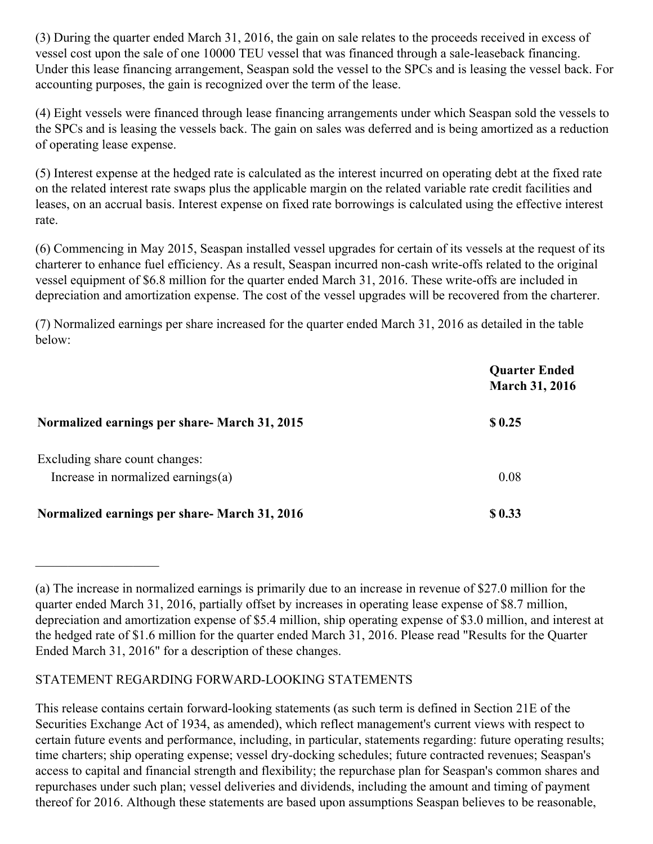(3) During the quarter ended March 31, 2016, the gain on sale relates to the proceeds received in excess of vessel cost upon the sale of one 10000 TEU vessel that was financed through a sale-leaseback financing. Under this lease financing arrangement, Seaspan sold the vessel to the SPCs and is leasing the vessel back. For accounting purposes, the gain is recognized over the term of the lease.

(4) Eight vessels were financed through lease financing arrangements under which Seaspan sold the vessels to the SPCs and is leasing the vessels back. The gain on sales was deferred and is being amortized as a reduction of operating lease expense.

(5) Interest expense at the hedged rate is calculated as the interest incurred on operating debt at the fixed rate on the related interest rate swaps plus the applicable margin on the related variable rate credit facilities and leases, on an accrual basis. Interest expense on fixed rate borrowings is calculated using the effective interest rate.

(6) Commencing in May 2015, Seaspan installed vessel upgrades for certain of its vessels at the request of its charterer to enhance fuel efficiency. As a result, Seaspan incurred non-cash write-offs related to the original vessel equipment of \$6.8 million for the quarter ended March 31, 2016. These write-offs are included in depreciation and amortization expense. The cost of the vessel upgrades will be recovered from the charterer.

(7) Normalized earnings per share increased for the quarter ended March 31, 2016 as detailed in the table below:

|                                                                         | <b>Quarter Ended</b><br><b>March 31, 2016</b> |
|-------------------------------------------------------------------------|-----------------------------------------------|
| Normalized earnings per share- March 31, 2015                           | \$0.25                                        |
| Excluding share count changes:<br>Increase in normalized earnings $(a)$ | 0.08                                          |
| Normalized earnings per share- March 31, 2016                           | \$0.33                                        |

## STATEMENT REGARDING FORWARD-LOOKING STATEMENTS

 $\mathcal{L}_\text{max}$  , where  $\mathcal{L}_\text{max}$ 

This release contains certain forward-looking statements (as such term is defined in Section 21E of the Securities Exchange Act of 1934, as amended), which reflect management's current views with respect to certain future events and performance, including, in particular, statements regarding: future operating results; time charters; ship operating expense; vessel dry-docking schedules; future contracted revenues; Seaspan's access to capital and financial strength and flexibility; the repurchase plan for Seaspan's common shares and repurchases under such plan; vessel deliveries and dividends, including the amount and timing of payment thereof for 2016. Although these statements are based upon assumptions Seaspan believes to be reasonable,

<sup>(</sup>a) The increase in normalized earnings is primarily due to an increase in revenue of \$27.0 million for the quarter ended March 31, 2016, partially offset by increases in operating lease expense of \$8.7 million, depreciation and amortization expense of \$5.4 million, ship operating expense of \$3.0 million, and interest at the hedged rate of \$1.6 million for the quarter ended March 31, 2016. Please read "Results for the Quarter Ended March 31, 2016" for a description of these changes.